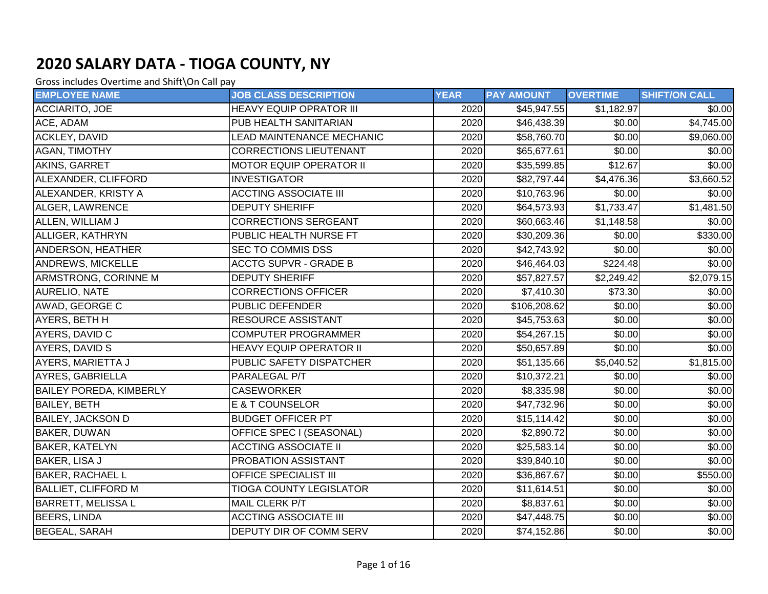| <b>EMPLOYEE NAME</b>           | <b>JOB CLASS DESCRIPTION</b>   | <b>YEAR</b> | <b>PAY AMOUNT</b> | <b>OVERTIME</b> | <b>SHIFT/ON CALL</b> |
|--------------------------------|--------------------------------|-------------|-------------------|-----------------|----------------------|
| ACCIARITO, JOE                 | <b>HEAVY EQUIP OPRATOR III</b> | 2020        | \$45,947.55       | \$1,182.97      | \$0.00               |
| ACE, ADAM                      | PUB HEALTH SANITARIAN          | 2020        | \$46,438.39       | \$0.00          | \$4,745.00           |
| <b>ACKLEY, DAVID</b>           | LEAD MAINTENANCE MECHANIC      | 2020        | \$58,760.70       | \$0.00          | \$9,060.00           |
| AGAN, TIMOTHY                  | <b>CORRECTIONS LIEUTENANT</b>  | 2020        | \$65,677.61       | \$0.00          | \$0.00               |
| <b>AKINS, GARRET</b>           | <b>MOTOR EQUIP OPERATOR II</b> | 2020        | \$35,599.85       | \$12.67         | \$0.00               |
| ALEXANDER, CLIFFORD            | <b>INVESTIGATOR</b>            | 2020        | \$82,797.44       | \$4,476.36      | \$3,660.52           |
| ALEXANDER, KRISTY A            | <b>ACCTING ASSOCIATE III</b>   | 2020        | \$10,763.96       | \$0.00          | \$0.00               |
| ALGER, LAWRENCE                | <b>DEPUTY SHERIFF</b>          | 2020        | \$64,573.93       | \$1,733.47      | \$1,481.50           |
| ALLEN, WILLIAM J               | <b>CORRECTIONS SERGEANT</b>    | 2020        | \$60,663.46       | \$1,148.58      | \$0.00               |
| ALLIGER, KATHRYN               | PUBLIC HEALTH NURSE FT         | 2020        | \$30,209.36       | \$0.00          | 330.00               |
| ANDERSON, HEATHER              | <b>SEC TO COMMIS DSS</b>       | 2020        | \$42,743.92       | \$0.00          | \$0.00               |
| <b>ANDREWS, MICKELLE</b>       | <b>ACCTG SUPVR - GRADE B</b>   | 2020        | \$46,464.03       | \$224.48        | \$0.00               |
| ARMSTRONG, CORINNE M           | <b>DEPUTY SHERIFF</b>          | 2020        | \$57,827.57       | \$2,249.42      | \$2,079.15           |
| <b>AURELIO, NATE</b>           | <b>CORRECTIONS OFFICER</b>     | 2020        | \$7,410.30        | \$73.30         | \$0.00               |
| AWAD, GEORGE C                 | <b>PUBLIC DEFENDER</b>         | 2020        | \$106,208.62      | \$0.00          | \$0.00               |
| AYERS, BETH H                  | <b>RESOURCE ASSISTANT</b>      | 2020        | \$45,753.63       | \$0.00          | \$0.00               |
| AYERS, DAVID C                 | <b>COMPUTER PROGRAMMER</b>     | 2020        | \$54,267.15       | \$0.00          | \$0.00               |
| AYERS, DAVID S                 | <b>HEAVY EQUIP OPERATOR II</b> | 2020        | \$50,657.89       | \$0.00          | \$0.00               |
| AYERS, MARIETTA J              | PUBLIC SAFETY DISPATCHER       | 2020        | \$51,135.66       | \$5,040.52      | \$1,815.00           |
| AYRES, GABRIELLA               | PARALEGAL P/T                  | 2020        | \$10,372.21       | $\sqrt{$0.00}$  | \$0.00               |
| <b>BAILEY POREDA, KIMBERLY</b> | <b>CASEWORKER</b>              | 2020        | \$8,335.98        | \$0.00          | $\sqrt{$0.00}$       |
| <b>BAILEY, BETH</b>            | E & T COUNSELOR                | 2020        | \$47,732.96       | \$0.00          | \$0.00               |
| <b>BAILEY, JACKSON D</b>       | <b>BUDGET OFFICER PT</b>       | 2020        | \$15,114.42       | \$0.00          | \$0.00               |
| <b>BAKER, DUWAN</b>            | OFFICE SPEC I (SEASONAL)       | 2020        | \$2,890.72        | \$0.00          | \$0.00               |
| <b>BAKER, KATELYN</b>          | <b>ACCTING ASSOCIATE II</b>    | 2020        | \$25,583.14       | \$0.00          | \$0.00               |
| BAKER, LISA J                  | PROBATION ASSISTANT            | 2020        | \$39,840.10       | \$0.00          | \$0.00               |
| <b>BAKER, RACHAEL L</b>        | OFFICE SPECIALIST III          | 2020        | \$36,867.67       | \$0.00          | \$550.00             |
| <b>BALLIET, CLIFFORD M</b>     | <b>TIOGA COUNTY LEGISLATOR</b> | 2020        | \$11,614.51       | \$0.00          | \$0.00               |
| <b>BARRETT, MELISSA L</b>      | <b>MAIL CLERK P/T</b>          | 2020        | \$8,837.61        | \$0.00          | \$0.00               |
| <b>BEERS, LINDA</b>            | <b>ACCTING ASSOCIATE III</b>   | 2020        | \$47,448.75       | \$0.00          | \$0.00               |
| <b>BEGEAL, SARAH</b>           | DEPUTY DIR OF COMM SERV        | 2020        | \$74,152.86       | \$0.00          | \$0.00               |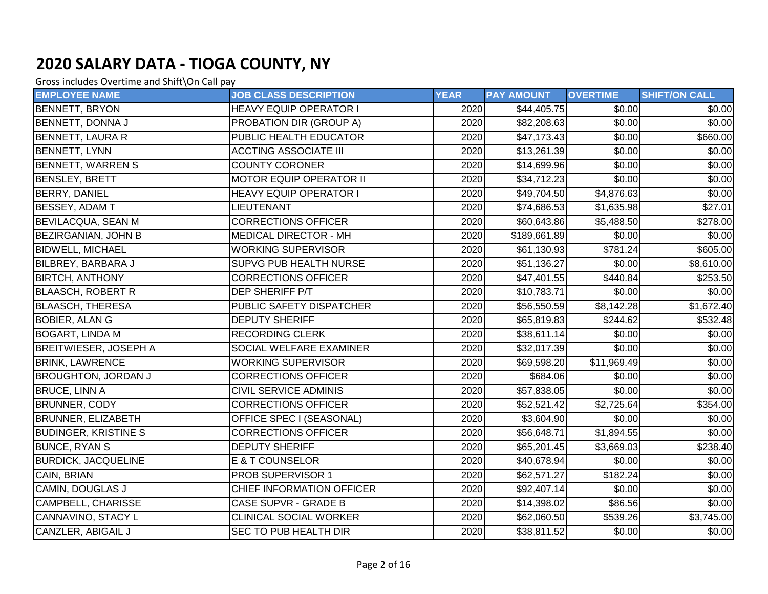| <b>EMPLOYEE NAME</b>         | <b>JOB CLASS DESCRIPTION</b>     | <b>YEAR</b> | <b>PAY AMOUNT</b> | <b>OVERTIME</b>      | <b>SHIFT/ON CALL</b> |
|------------------------------|----------------------------------|-------------|-------------------|----------------------|----------------------|
| <b>BENNETT, BRYON</b>        | <b>HEAVY EQUIP OPERATOR I</b>    | 2020        | \$44,405.75       | \$0.00               | \$0.00               |
| BENNETT, DONNA J             | PROBATION DIR (GROUP A)          | 2020        | \$82,208.63       | \$0.00               | \$0.00               |
| <b>BENNETT, LAURA R</b>      | PUBLIC HEALTH EDUCATOR           | 2020        | \$47,173.43       | \$0.00               | \$660.00             |
| BENNETT, LYNN                | <b>ACCTING ASSOCIATE III</b>     | 2020        | \$13,261.39       | \$0.00               | \$0.00               |
| <b>BENNETT, WARREN S</b>     | <b>COUNTY CORONER</b>            | 2020        | \$14,699.96       | \$0.00               | \$0.00               |
| <b>BENSLEY, BRETT</b>        | <b>MOTOR EQUIP OPERATOR II</b>   | 2020        | \$34,712.23       | \$0.00               | \$0.00               |
| <b>BERRY, DANIEL</b>         | <b>HEAVY EQUIP OPERATOR I</b>    | 2020        | \$49,704.50       | \$4,876.63           | \$0.00               |
| <b>BESSEY, ADAM T</b>        | LIEUTENANT                       | 2020        | \$74,686.53       | \$1,635.98           | \$27.01              |
| <b>BEVILACQUA, SEAN M</b>    | <b>CORRECTIONS OFFICER</b>       | 2020        | \$60,643.86       | \$5,488.50           | \$278.00             |
| <b>BEZIRGANIAN, JOHN B</b>   | <b>MEDICAL DIRECTOR - MH</b>     | 2020        | \$189,661.89      | \$0.00               | \$0.00               |
| <b>BIDWELL, MICHAEL</b>      | <b>WORKING SUPERVISOR</b>        | 2020        | \$61,130.93       | $\overline{$}781.24$ | \$605.00             |
| <b>BILBREY, BARBARA J</b>    | SUPVG PUB HEALTH NURSE           | 2020        | \$51,136.27       | \$0.00               | \$8,610.00           |
| <b>BIRTCH, ANTHONY</b>       | <b>CORRECTIONS OFFICER</b>       | 2020        | \$47,401.55       | \$440.84             | \$253.50             |
| <b>BLAASCH, ROBERT R</b>     | <b>DEP SHERIFF P/T</b>           | 2020        | \$10,783.71       | \$0.00               | \$0.00               |
| <b>BLAASCH, THERESA</b>      | PUBLIC SAFETY DISPATCHER         | 2020        | \$56,550.59       | \$8,142.28           | \$1,672.40           |
| <b>BOBIER, ALAN G</b>        | <b>DEPUTY SHERIFF</b>            | 2020        | \$65,819.83       | \$244.62             | \$532.48             |
| <b>BOGART, LINDA M</b>       | <b>RECORDING CLERK</b>           | 2020        | \$38,611.14]      | \$0.00               | \$0.00               |
| <b>BREITWIESER, JOSEPH A</b> | SOCIAL WELFARE EXAMINER          | 2020        | \$32,017.39       | \$0.00               | \$0.00               |
| <b>BRINK, LAWRENCE</b>       | <b>WORKING SUPERVISOR</b>        | 2020        | \$69,598.20       | \$11,969.49          | \$0.00               |
| <b>BROUGHTON, JORDAN J</b>   | <b>CORRECTIONS OFFICER</b>       | 2020        | \$684.06          | \$0.00               | \$0.00               |
| <b>BRUCE, LINN A</b>         | <b>CIVIL SERVICE ADMINIS</b>     | 2020        | \$57,838.05       | \$0.00               | $\sqrt{$0.00}$       |
| <b>BRUNNER, CODY</b>         | <b>CORRECTIONS OFFICER</b>       | 2020        | \$52,521.42       | \$2,725.64           | \$354.00             |
| <b>BRUNNER, ELIZABETH</b>    | OFFICE SPEC I (SEASONAL)         | 2020        | \$3,604.90        | \$0.00               | \$0.00               |
| <b>BUDINGER, KRISTINE S</b>  | <b>CORRECTIONS OFFICER</b>       | 2020        | \$56,648.71       | \$1,894.55           | \$0.00               |
| <b>BUNCE, RYAN S</b>         | <b>DEPUTY SHERIFF</b>            | 2020        | \$65,201.45       | \$3,669.03           | 3238.40              |
| <b>BURDICK, JACQUELINE</b>   | <b>E &amp; T COUNSELOR</b>       | 2020        | \$40,678.94       | \$0.00               | \$0.00               |
| CAIN, BRIAN                  | PROB SUPERVISOR 1                | 2020        | \$62,571.27       | $\overline{$}182.24$ | \$0.00               |
| <b>CAMIN, DOUGLAS J</b>      | <b>CHIEF INFORMATION OFFICER</b> | 2020        | \$92,407.14       | \$0.00               | \$0.00               |
| <b>CAMPBELL, CHARISSE</b>    | <b>CASE SUPVR - GRADE B</b>      | 2020        | \$14,398.02       | $\overline{$86.56}$  | \$0.00               |
| CANNAVINO, STACY L           | <b>CLINICAL SOCIAL WORKER</b>    | 2020        | \$62,060.50       | \$539.26             | \$3,745.00           |
| <b>CANZLER, ABIGAIL J</b>    | SEC TO PUB HEALTH DIR            | 2020        | \$38,811.52       | $\sqrt{$0.00}$       | \$0.00               |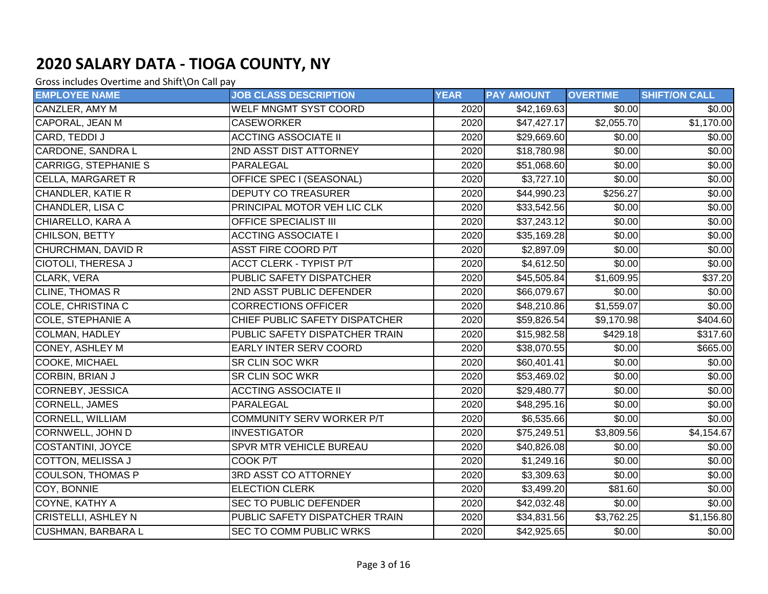| <b>EMPLOYEE NAME</b>        | <b>JOB CLASS DESCRIPTION</b>     | <b>YEAR</b> | <b>PAY AMOUNT</b> | <b>OVERTIME</b> | <b>SHIFT/ON CALL</b> |
|-----------------------------|----------------------------------|-------------|-------------------|-----------------|----------------------|
| CANZLER, AMY M              | WELF MNGMT SYST COORD            | 2020        | \$42,169.63       | \$0.00          | \$0.00               |
| CAPORAL, JEAN M             | <b>CASEWORKER</b>                | 2020        | \$47,427.17       | \$2,055.70      | \$1,170.00           |
| CARD, TEDDI J               | <b>ACCTING ASSOCIATE II</b>      | 2020        | \$29,669.60       | \$0.00          | \$0.00               |
| <b>CARDONE, SANDRA L</b>    | 2ND ASST DIST ATTORNEY           | 2020        | \$18,780.98       | \$0.00          | \$0.00               |
| <b>CARRIGG, STEPHANIE S</b> | PARALEGAL                        | 2020        | \$51,068.60       | \$0.00          | \$0.00               |
| CELLA, MARGARET R           | OFFICE SPEC I (SEASONAL)         | 2020        | \$3,727.10        | \$0.00          | \$0.00               |
| CHANDLER, KATIE R           | <b>DEPUTY CO TREASURER</b>       | 2020        | \$44,990.23       | \$256.27        | \$0.00               |
| CHANDLER, LISA C            | PRINCIPAL MOTOR VEH LIC CLK      | 2020        | \$33,542.56       | \$0.00          | \$0.00               |
| CHIARELLO, KARA A           | OFFICE SPECIALIST III            | 2020        | \$37,243.12       | \$0.00          | \$0.00               |
| CHILSON, BETTY              | <b>ACCTING ASSOCIATE I</b>       | 2020        | \$35,169.28       | \$0.00          | \$0.00               |
| CHURCHMAN, DAVID R          | <b>ASST FIRE COORD P/T</b>       | 2020        | \$2,897.09        | \$0.00          | \$0.00               |
| <b>CIOTOLI, THERESA J</b>   | <b>ACCT CLERK - TYPIST P/T</b>   | 2020        | \$4,612.50        | \$0.00          | \$0.00               |
| CLARK, VERA                 | PUBLIC SAFETY DISPATCHER         | 2020        | \$45,505.84       | \$1,609.95      | \$37.20              |
| <b>CLINE, THOMAS R</b>      | 2ND ASST PUBLIC DEFENDER         | 2020        | \$66,079.67       | \$0.00          | \$0.00               |
| <b>COLE, CHRISTINA C</b>    | <b>CORRECTIONS OFFICER</b>       | 2020        | \$48,210.86       | \$1,559.07      | \$0.00]              |
| <b>COLE, STEPHANIE A</b>    | CHIEF PUBLIC SAFETY DISPATCHER   | 2020        | \$59,826.54       | \$9,170.98      | \$404.60             |
| <b>COLMAN, HADLEY</b>       | PUBLIC SAFETY DISPATCHER TRAIN   | 2020        | \$15,982.58       | \$429.18        | \$317.60             |
| <b>CONEY, ASHLEY M</b>      | <b>EARLY INTER SERV COORD</b>    | 2020        | \$38,070.55       | \$0.00          | \$665.00             |
| COOKE, MICHAEL              | <b>SR CLIN SOC WKR</b>           | 2020        | \$60,401.41       | \$0.00          | \$0.00               |
| CORBIN, BRIAN J             | <b>SR CLIN SOC WKR</b>           | 2020        | \$53,469.02       | \$0.00          | \$0.00               |
| CORNEBY, JESSICA            | <b>ACCTING ASSOCIATE II</b>      | 2020        | \$29,480.77       | \$0.00          | \$0.00               |
| <b>CORNELL, JAMES</b>       | PARALEGAL                        | 2020        | \$48,295.16       | \$0.00          | \$0.00               |
| <b>CORNELL, WILLIAM</b>     | <b>COMMUNITY SERV WORKER P/T</b> | 2020        | \$6,535.66        | \$0.00          | \$0.00               |
| <b>CORNWELL, JOHN D</b>     | <b>INVESTIGATOR</b>              | 2020        | \$75,249.51       | \$3,809.56      | \$4,154.67           |
| COSTANTINI, JOYCE           | <b>SPVR MTR VEHICLE BUREAU</b>   | 2020        | \$40,826.08       | \$0.00          | \$0.00               |
| <b>COTTON, MELISSA J</b>    | COOK P/T                         | 2020        | \$1,249.16        | \$0.00          | \$0.00               |
| <b>COULSON, THOMAS P</b>    | 3RD ASST CO ATTORNEY             | 2020        | \$3,309.63        | $\sqrt{$0.00}$  | \$0.00               |
| COY, BONNIE                 | <b>ELECTION CLERK</b>            | 2020        | \$3,499.20        | \$81.60         | \$0.00               |
| COYNE, KATHY A              | <b>SEC TO PUBLIC DEFENDER</b>    | 2020        | \$42,032.48       | \$0.00          | \$0.00               |
| <b>CRISTELLI, ASHLEY N</b>  | PUBLIC SAFETY DISPATCHER TRAIN   | 2020        | \$34,831.56       | \$3,762.25      | \$1,156.80           |
| <b>CUSHMAN, BARBARA L</b>   | <b>SEC TO COMM PUBLIC WRKS</b>   | 2020        | \$42,925.65       | \$0.00          | \$0.00               |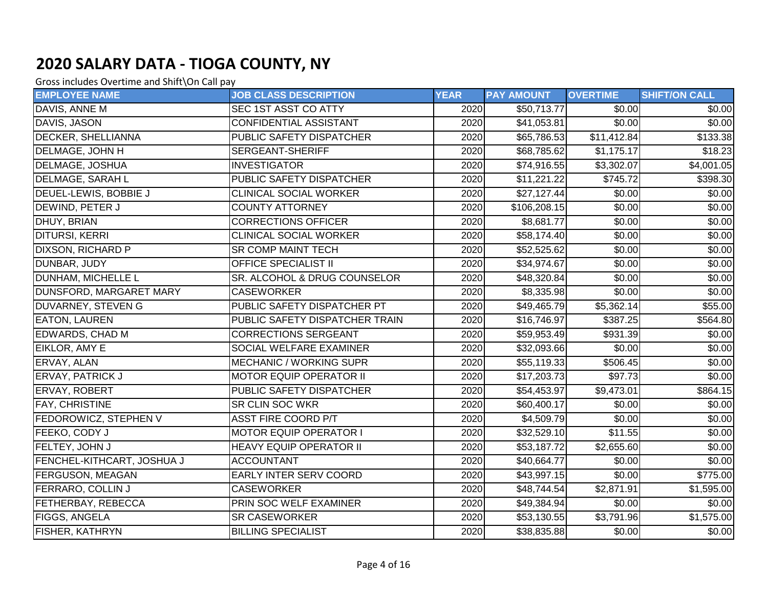| <b>EMPLOYEE NAME</b>       | <b>JOB CLASS DESCRIPTION</b>   | <b>YEAR</b> | <b>PAY AMOUNT</b>      | <b>OVERTIME</b> | <b>SHIFT/ON CALL</b>   |
|----------------------------|--------------------------------|-------------|------------------------|-----------------|------------------------|
| DAVIS, ANNE M              | SEC 1ST ASST CO ATTY           | 2020        | \$50,713.77            | \$0.00          | \$0.00                 |
| DAVIS, JASON               | <b>CONFIDENTIAL ASSISTANT</b>  | 2020        | \$41,053.81            | \$0.00          | \$0.00                 |
| <b>DECKER, SHELLIANNA</b>  | PUBLIC SAFETY DISPATCHER       | 2020        | \$65,786.53            | \$11,412.84     | \$133.38               |
| <b>DELMAGE, JOHN H</b>     | SERGEANT-SHERIFF               | 2020        | \$68,785.62            | \$1,175.17      | \$18.23                |
| DELMAGE, JOSHUA            | <b>INVESTIGATOR</b>            | 2020        | \$74,916.55            | \$3,302.07      | $\overline{$4,001.05}$ |
| <b>DELMAGE, SARAH L</b>    | PUBLIC SAFETY DISPATCHER       | 2020        | \$11,221.22            | \$745.72        | \$398.30               |
| DEUEL-LEWIS, BOBBIE J      | <b>CLINICAL SOCIAL WORKER</b>  | 2020        | \$27,127.44]           | \$0.00          | \$0.00                 |
| DEWIND, PETER J            | <b>COUNTY ATTORNEY</b>         | 2020        | \$106,208.15           | \$0.00          | \$0.00                 |
| DHUY, BRIAN                | <b>CORRECTIONS OFFICER</b>     | 2020        | $\overline{$8,681.77}$ | \$0.00          | \$0.00                 |
| <b>DITURSI, KERRI</b>      | <b>CLINICAL SOCIAL WORKER</b>  | 2020        | \$58,174.40            | \$0.00          | \$0.00                 |
| <b>DIXSON, RICHARD P</b>   | <b>SR COMP MAINT TECH</b>      | 2020        | \$52,525.62            | \$0.00          | \$0.00                 |
| DUNBAR, JUDY               | <b>OFFICE SPECIALIST II</b>    | 2020        | \$34,974.67            | \$0.00          | \$0.00                 |
| DUNHAM, MICHELLE L         | SR. ALCOHOL & DRUG COUNSELOR   | 2020        | \$48,320.84            | \$0.00          | \$0.00                 |
| DUNSFORD, MARGARET MARY    | <b>CASEWORKER</b>              | 2020        | \$8,335.98             | \$0.00          | \$0.00                 |
| DUVARNEY, STEVEN G         | PUBLIC SAFETY DISPATCHER PT    | 2020        | \$49,465.79            | \$5,362.14]     | \$55.00                |
| <b>EATON, LAUREN</b>       | PUBLIC SAFETY DISPATCHER TRAIN | 2020        | \$16,746.97            | \$387.25        | \$564.80               |
| <b>EDWARDS, CHAD M</b>     | <b>CORRECTIONS SERGEANT</b>    | 2020        | \$59,953.49            | \$931.39        | \$0.00                 |
| EIKLOR, AMY E              | SOCIAL WELFARE EXAMINER        | 2020        | \$32,093.66            | \$0.00          | \$0.00                 |
| ERVAY, ALAN                | <b>MECHANIC / WORKING SUPR</b> | 2020        | \$55,119.33            | \$506.45        | \$0.00                 |
| ERVAY, PATRICK J           | <b>MOTOR EQUIP OPERATOR II</b> | 2020        | \$17,203.73            | \$97.73         | \$0.00                 |
| ERVAY, ROBERT              | PUBLIC SAFETY DISPATCHER       | 2020        | \$54,453.97            | \$9,473.01      | \$864.15               |
| FAY, CHRISTINE             | SR CLIN SOC WKR                | 2020        | \$60,400.17            | \$0.00          | \$0.00                 |
| FEDOROWICZ, STEPHEN V      | <b>ASST FIRE COORD P/T</b>     | 2020        | $\overline{$}4,509.79$ | \$0.00          | \$0.00                 |
| FEEKO, CODY J              | <b>MOTOR EQUIP OPERATOR I</b>  | 2020        | \$32,529.10            | \$11.55         | \$0.00                 |
| FELTEY, JOHN J             | <b>HEAVY EQUIP OPERATOR II</b> | 2020        | \$53,187.72            | \$2,655.60      | \$0.00                 |
| FENCHEL-KITHCART, JOSHUA J | <b>ACCOUNTANT</b>              | 2020        | \$40,664.77            | \$0.00          | \$0.00                 |
| FERGUSON, MEAGAN           | EARLY INTER SERV COORD         | 2020        | \$43,997.15            | \$0.00          | \$775.00               |
| <b>FERRARO, COLLIN J</b>   | <b>CASEWORKER</b>              | 2020        | \$48,744.54            | \$2,871.91      | \$1,595.00             |
| FETHERBAY, REBECCA         | PRIN SOC WELF EXAMINER         | 2020        | \$49,384.94            | \$0.00          | \$0.00                 |
| FIGGS, ANGELA              | <b>SR CASEWORKER</b>           | 2020        | \$53,130.55            | \$3,791.96      | \$1,575.00             |
| <b>FISHER, KATHRYN</b>     | <b>BILLING SPECIALIST</b>      | 2020        | \$38,835.88            | $\sqrt{$0.00}$  | \$0.00                 |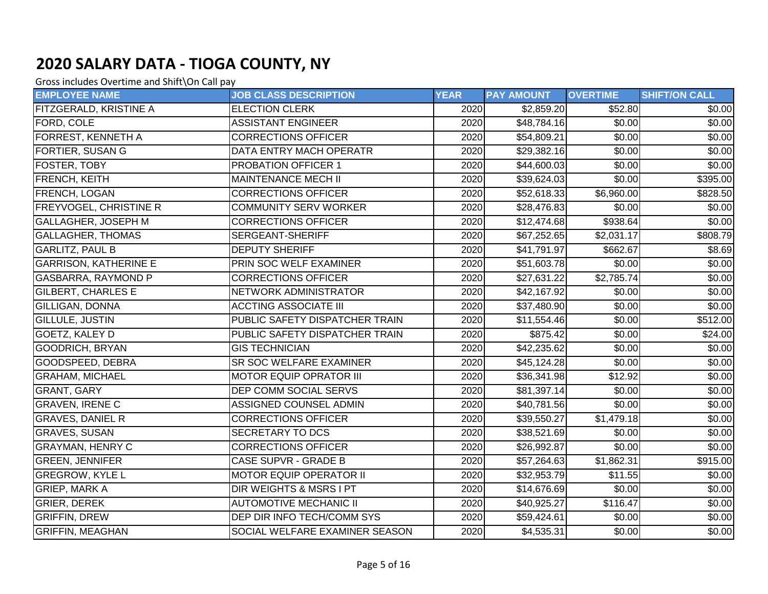| <b>EMPLOYEE NAME</b>          | <b>JOB CLASS DESCRIPTION</b>       | <b>YEAR</b> | <b>PAY AMOUNT</b> | <b>OVERTIME</b> | <b>SHIFT/ON CALL</b> |
|-------------------------------|------------------------------------|-------------|-------------------|-----------------|----------------------|
| <b>FITZGERALD, KRISTINE A</b> | <b>ELECTION CLERK</b>              | 2020        | \$2,859.20        | \$52.80         | \$0.00               |
| FORD, COLE                    | <b>ASSISTANT ENGINEER</b>          | 2020        | \$48,784.16       | \$0.00          | \$0.00               |
| <b>FORREST, KENNETH A</b>     | <b>CORRECTIONS OFFICER</b>         | 2020        | \$54,809.21       | \$0.00          | \$0.00               |
| FORTIER, SUSAN G              | DATA ENTRY MACH OPERATR            | 2020        | \$29,382.16       | \$0.00          | \$0.00               |
| <b>FOSTER, TOBY</b>           | <b>PROBATION OFFICER 1</b>         | 2020        | \$44,600.03       | \$0.00          | \$0.00               |
| <b>FRENCH, KEITH</b>          | <b>MAINTENANCE MECH II</b>         | 2020        | \$39,624.03       | \$0.00          | \$395.00             |
| FRENCH, LOGAN                 | <b>CORRECTIONS OFFICER</b>         | 2020        | \$52,618.33       | \$6,960.00      | \$828.50             |
| <b>FREYVOGEL, CHRISTINE R</b> | <b>COMMUNITY SERV WORKER</b>       | 2020        | \$28,476.83       | \$0.00          | \$0.00               |
| GALLAGHER, JOSEPH M           | <b>CORRECTIONS OFFICER</b>         | 2020        | \$12,474.68       | \$938.64        | \$0.00               |
| <b>GALLAGHER, THOMAS</b>      | <b>SERGEANT-SHERIFF</b>            | 2020        | \$67,252.65       | \$2,031.17      | \$808.79             |
| <b>GARLITZ, PAUL B</b>        | <b>DEPUTY SHERIFF</b>              | 2020        | \$41,791.97       | \$662.67        | \$8.69               |
| <b>GARRISON, KATHERINE E</b>  | PRIN SOC WELF EXAMINER             | 2020        | \$51,603.78       | \$0.00          | \$0.00               |
| GASBARRA, RAYMOND P           | <b>CORRECTIONS OFFICER</b>         | 2020        | \$27,631.22       | \$2,785.74      | \$0.00               |
| <b>GILBERT, CHARLES E</b>     | NETWORK ADMINISTRATOR              | 2020        | \$42,167.92       | \$0.00          | \$0.00               |
| GILLIGAN, DONNA               | <b>ACCTING ASSOCIATE III</b>       | 2020        | \$37,480.90       | \$0.00          | \$0.00               |
| <b>GILLULE, JUSTIN</b>        | PUBLIC SAFETY DISPATCHER TRAIN     | 2020        | \$11,554.46       | \$0.00          | \$512.00             |
| <b>GOETZ, KALEY D</b>         | PUBLIC SAFETY DISPATCHER TRAIN     | 2020        | \$875.42          | \$0.00          | \$24.00              |
| <b>GOODRICH, BRYAN</b>        | <b>GIS TECHNICIAN</b>              | 2020        | \$42,235.62       | \$0.00          | \$0.00               |
| GOODSPEED, DEBRA              | SR SOC WELFARE EXAMINER            | 2020        | \$45,124.28       | \$0.00          | \$0.00               |
| <b>GRAHAM, MICHAEL</b>        | <b>MOTOR EQUIP OPRATOR III</b>     | 2020        | \$36,341.98       | \$12.92         | \$0.00               |
| <b>GRANT, GARY</b>            | DEP COMM SOCIAL SERVS              | 2020        | \$81,397.14       | \$0.00          | \$0.00               |
| <b>GRAVEN, IRENE C</b>        | ASSIGNED COUNSEL ADMIN             | 2020        | \$40,781.56       | \$0.00          | \$0.00               |
| <b>GRAVES, DANIEL R</b>       | <b>CORRECTIONS OFFICER</b>         | 2020        | \$39,550.27       | \$1,479.18      | \$0.00               |
| <b>GRAVES, SUSAN</b>          | SECRETARY TO DCS                   | 2020        | \$38,521.69       | \$0.00          | $\sqrt{$0.00}$       |
| <b>GRAYMAN, HENRY C</b>       | <b>CORRECTIONS OFFICER</b>         | 2020        | \$26,992.87       | \$0.00          | \$0.00               |
| <b>GREEN, JENNIFER</b>        | <b>CASE SUPVR - GRADE B</b>        | 2020        | \$57,264.63       | \$1,862.31      | \$915.00             |
| <b>GREGROW, KYLE L</b>        | <b>MOTOR EQUIP OPERATOR II</b>     | 2020        | \$32,953.79       | \$11.55         | \$0.00               |
| <b>GRIEP, MARK A</b>          | <b>DIR WEIGHTS &amp; MSRS I PT</b> | 2020        | \$14,676.69       | \$0.00          | \$0.00               |
| <b>GRIER, DEREK</b>           | <b>AUTOMOTIVE MECHANIC II</b>      | 2020        | \$40,925.27       | \$116.47        | \$0.00               |
| <b>GRIFFIN, DREW</b>          | DEP DIR INFO TECH/COMM SYS         | 2020        | \$59,424.61       | \$0.00          | \$0.00               |
| <b>GRIFFIN, MEAGHAN</b>       | SOCIAL WELFARE EXAMINER SEASON     | 2020        | \$4,535.31        | \$0.00          | \$0.00               |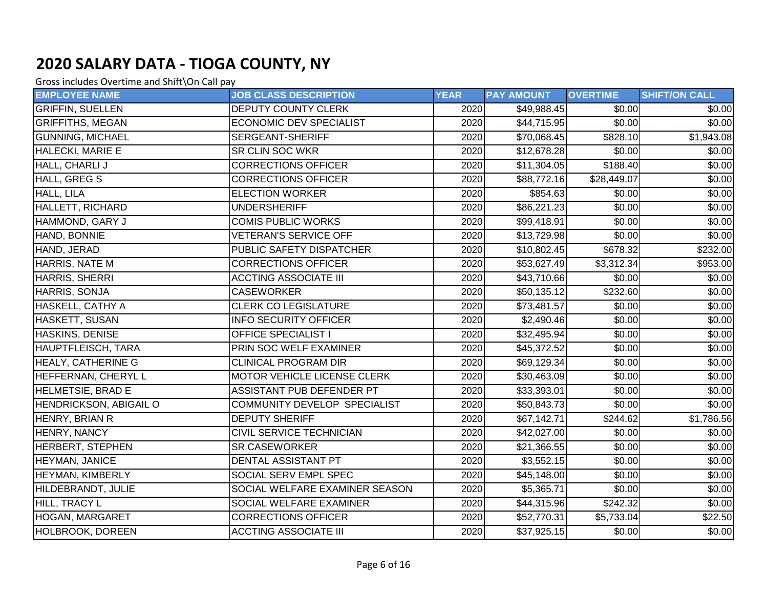| <b>EMPLOYEE NAME</b>     | <b>JOB CLASS DESCRIPTION</b>    | <b>YEAR</b> | <b>PAY AMOUNT</b> | <b>OVERTIME</b>      | <b>SHIFT/ON CALL</b> |
|--------------------------|---------------------------------|-------------|-------------------|----------------------|----------------------|
| <b>GRIFFIN, SUELLEN</b>  | <b>DEPUTY COUNTY CLERK</b>      | 2020        | \$49,988.45       | \$0.00               | \$0.00               |
| <b>GRIFFITHS, MEGAN</b>  | <b>ECONOMIC DEV SPECIALIST</b>  | 2020        | \$44,715.95       | \$0.00               | \$0.00               |
| <b>GUNNING, MICHAEL</b>  | SERGEANT-SHERIFF                | 2020        | \$70,068.45       | \$828.10             | \$1,943.08           |
| <b>HALECKI, MARIE E</b>  | <b>SR CLIN SOC WKR</b>          | 2020        | \$12,678.28       | \$0.00               | \$0.00               |
| HALL, CHARLI J           | <b>CORRECTIONS OFFICER</b>      | 2020        | \$11,304.05       | \$188.40             | \$0.00               |
| <b>HALL, GREG S</b>      | <b>CORRECTIONS OFFICER</b>      | 2020        | \$88,772.16       | \$28,449.07          | \$0.00               |
| HALL, LILA               | <b>ELECTION WORKER</b>          | 2020        | \$854.63          | \$0.00               | \$0.00               |
| <b>HALLETT, RICHARD</b>  | <b>UNDERSHERIFF</b>             | 2020        | \$86,221.23       | \$0.00               | \$0.00               |
| HAMMOND, GARY J          | <b>COMIS PUBLIC WORKS</b>       | 2020        | \$99,418.91       | \$0.00               | \$0.00               |
| HAND, BONNIE             | <b>VETERAN'S SERVICE OFF</b>    | 2020        | \$13,729.98       | \$0.00               | \$0.00               |
| HAND, JERAD              | PUBLIC SAFETY DISPATCHER        | 2020        | \$10,802.45       | $\overline{$}678.32$ | \$232.00             |
| <b>HARRIS, NATE M</b>    | <b>CORRECTIONS OFFICER</b>      | 2020        | \$53,627.49       | \$3,312.34           | \$953.00             |
| HARRIS, SHERRI           | <b>ACCTING ASSOCIATE III</b>    | 2020        | \$43,710.66       | \$0.00               | \$0.00               |
| HARRIS, SONJA            | <b>CASEWORKER</b>               | 2020        | \$50,135.12       | \$232.60             | \$0.00               |
| HASKELL, CATHY A         | <b>CLERK CO LEGISLATURE</b>     | 2020        | \$73,481.57       | \$0.00               | \$0.00               |
| <b>HASKETT, SUSAN</b>    | <b>INFO SECURITY OFFICER</b>    | 2020        | \$2,490.46        | \$0.00               | \$0.00               |
| <b>HASKINS, DENISE</b>   | <b>OFFICE SPECIALIST I</b>      | 2020        | \$32,495.94       | \$0.00               | \$0.00               |
| HAUPTFLEISCH, TARA       | PRIN SOC WELF EXAMINER          | 2020        | \$45,372.52       | \$0.00               | \$0.00               |
| HEALY, CATHERINE G       | <b>CLINICAL PROGRAM DIR</b>     | 2020        | \$69,129.34       | \$0.00               | \$0.00               |
| HEFFERNAN, CHERYL L      | MOTOR VEHICLE LICENSE CLERK     | 2020        | \$30,463.09       | \$0.00               | \$0.00               |
| <b>HELMETSIE, BRAD E</b> | ASSISTANT PUB DEFENDER PT       | 2020        | \$33,393.01       | \$0.00               | \$0.00]              |
| HENDRICKSON, ABIGAIL O   | COMMUNITY DEVELOP SPECIALIST    | 2020        | \$50,843.73       | \$0.00               | \$0.00               |
| HENRY, BRIAN R           | <b>DEPUTY SHERIFF</b>           | 2020        | \$67,142.71       | $\overline{$}244.62$ | \$1,786.56           |
| HENRY, NANCY             | <b>CIVIL SERVICE TECHNICIAN</b> | 2020        | \$42,027.00       | \$0.00               | \$0.00]              |
| <b>HERBERT, STEPHEN</b>  | <b>SR CASEWORKER</b>            | 2020        | \$21,366.55       | \$0.00               | \$0.00               |
| HEYMAN, JANICE           | DENTAL ASSISTANT PT             | 2020        | \$3,552.15        | \$0.00               | \$0.00               |
| <b>HEYMAN, KIMBERLY</b>  | <b>SOCIAL SERV EMPL SPEC</b>    | 2020        | \$45,148.00       | \$0.00               | \$0.00               |
| HILDEBRANDT, JULIE       | SOCIAL WELFARE EXAMINER SEASON  | 2020        | \$5,365.71        | \$0.00               | \$0.00]              |
| HILL, TRACY L            | <b>SOCIAL WELFARE EXAMINER</b>  | 2020        | \$44,315.96       | \$242.32             | \$0.00               |
| HOGAN, MARGARET          | <b>CORRECTIONS OFFICER</b>      | 2020        | \$52,770.31       | \$5,733.04           | \$22.50              |
| <b>HOLBROOK, DOREEN</b>  | <b>ACCTING ASSOCIATE III</b>    | 2020        | \$37,925.15       | \$0.00               | \$0.00               |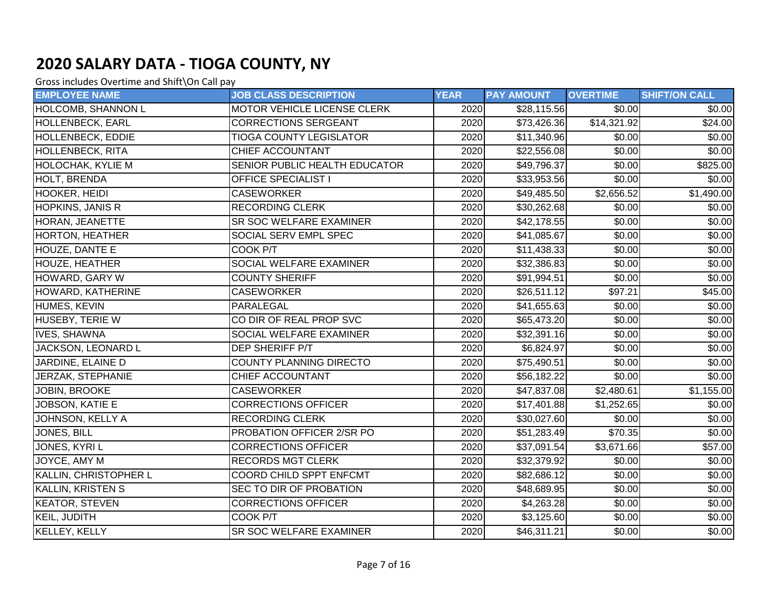| <b>EMPLOYEE NAME</b>      | <b>JOB CLASS DESCRIPTION</b>   | <b>YEAR</b> | <b>PAY AMOUNT</b> | <b>OVERTIME</b> | <b>SHIFT/ON CALL</b>   |
|---------------------------|--------------------------------|-------------|-------------------|-----------------|------------------------|
| <b>HOLCOMB, SHANNON L</b> | MOTOR VEHICLE LICENSE CLERK    | 2020        | \$28,115.56       | \$0.00          | \$0.00                 |
| <b>HOLLENBECK, EARL</b>   | <b>CORRECTIONS SERGEANT</b>    | 2020        | \$73,426.36       | \$14,321.92     | \$24.00                |
| HOLLENBECK, EDDIE         | <b>TIOGA COUNTY LEGISLATOR</b> | 2020        | \$11,340.96       | \$0.00          | \$0.00                 |
| HOLLENBECK, RITA          | CHIEF ACCOUNTANT               | 2020        | \$22,556.08       | \$0.00          | \$0.00                 |
| <b>HOLOCHAK, KYLIE M</b>  | SENIOR PUBLIC HEALTH EDUCATOR  | 2020        | \$49,796.37       | \$0.00          | \$825.00               |
| HOLT, BRENDA              | <b>OFFICE SPECIALIST I</b>     | 2020        | \$33,953.56       | \$0.00          | \$0.00                 |
| <b>HOOKER, HEIDI</b>      | <b>CASEWORKER</b>              | 2020        | \$49,485.50       | \$2,656.52      | $\overline{$1,490.00}$ |
| <b>HOPKINS, JANIS R</b>   | <b>RECORDING CLERK</b>         | 2020        | \$30,262.68       | \$0.00          | \$0.00                 |
| HORAN, JEANETTE           | SR SOC WELFARE EXAMINER        | 2020        | \$42,178.55       | \$0.00          | $\sqrt{$0.00}$         |
| <b>HORTON, HEATHER</b>    | SOCIAL SERV EMPL SPEC          | 2020        | \$41,085.67       | \$0.00          | \$0.00                 |
| HOUZE, DANTE E            | COOK P/T                       | 2020        | \$11,438.33       | \$0.00          | \$0.00                 |
| <b>HOUZE, HEATHER</b>     | SOCIAL WELFARE EXAMINER        | 2020        | \$32,386.83       | \$0.00          | \$0.00                 |
| HOWARD, GARY W            | <b>COUNTY SHERIFF</b>          | 2020        | \$91,994.51       | \$0.00          | \$0.00                 |
| HOWARD, KATHERINE         | <b>CASEWORKER</b>              | 2020        | \$26,511.12       | \$97.21         | \$45.00                |
| HUMES, KEVIN              | PARALEGAL                      | 2020        | \$41,655.63       | \$0.00          | \$0.00                 |
| HUSEBY, TERIE W           | CO DIR OF REAL PROP SVC        | 2020        | \$65,473.20       | \$0.00          | \$0.00                 |
| <b>IVES, SHAWNA</b>       | SOCIAL WELFARE EXAMINER        | 2020        | \$32,391.16       | \$0.00          | \$0.00                 |
| JACKSON, LEONARD L        | DEP SHERIFF P/T                | 2020        | \$6,824.97        | \$0.00          | \$0.00                 |
| JARDINE, ELAINE D         | <b>COUNTY PLANNING DIRECTO</b> | 2020        | \$75,490.51       | \$0.00          | \$0.00                 |
| JERZAK, STEPHANIE         | CHIEF ACCOUNTANT               | 2020        | \$56,182.22       | \$0.00          | \$0.00                 |
| JOBIN, BROOKE             | <b>CASEWORKER</b>              | 2020        | \$47,837.08       | \$2,480.61      | \$1,155.00             |
| JOBSON, KATIE E           | <b>CORRECTIONS OFFICER</b>     | 2020        | \$17,401.88       | \$1,252.65      | \$0.00                 |
| JOHNSON, KELLY A          | <b>RECORDING CLERK</b>         | 2020        | \$30,027.60       | \$0.00          | \$0.00                 |
| JONES, BILL               | PROBATION OFFICER 2/SR PO      | 2020        | \$51,283.49       | \$70.35         | \$0.00                 |
| JONES, KYRI L             | <b>CORRECTIONS OFFICER</b>     | 2020        | \$37,091.54       | \$3,671.66      | \$57.00                |
| JOYCE, AMY M              | <b>RECORDS MGT CLERK</b>       | 2020        | \$32,379.92       | \$0.00          | \$0.00                 |
| KALLIN, CHRISTOPHER L     | COORD CHILD SPPT ENFCMT        | 2020        | \$82,686.12       | \$0.00          | \$0.00                 |
| <b>KALLIN, KRISTEN S</b>  | SEC TO DIR OF PROBATION        | 2020        | \$48,689.95       | \$0.00          | \$0.00                 |
| <b>KEATOR, STEVEN</b>     | <b>CORRECTIONS OFFICER</b>     | 2020        | \$4,263.28        | \$0.00          | \$0.00                 |
| KEIL, JUDITH              | COOK P/T                       | 2020        | \$3,125.60        | \$0.00          | \$0.00                 |
| <b>KELLEY, KELLY</b>      | SR SOC WELFARE EXAMINER        | 2020        | \$46,311.21       | \$0.00          | \$0.00                 |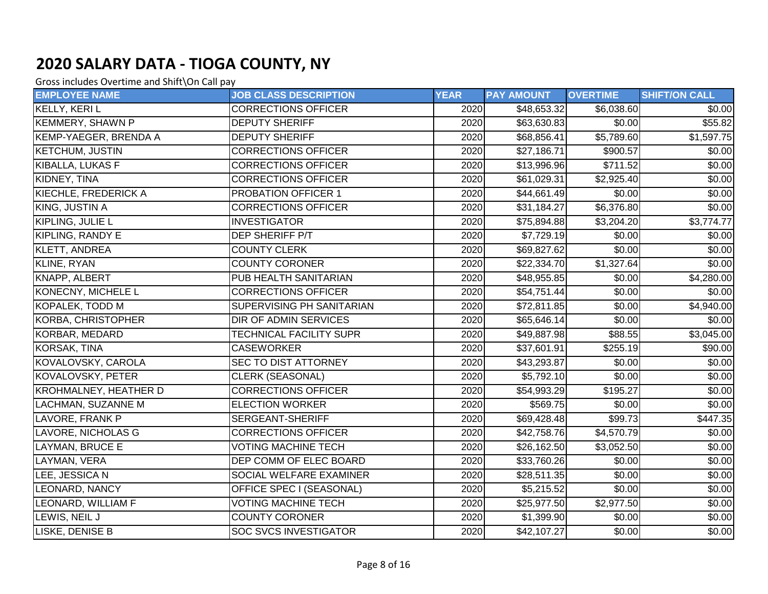| <b>EMPLOYEE NAME</b>         | <b>JOB CLASS DESCRIPTION</b>   | <b>YEAR</b> | <b>PAY AMOUNT</b> | <b>OVERTIME</b>      | <b>SHIFT/ON CALL</b>    |
|------------------------------|--------------------------------|-------------|-------------------|----------------------|-------------------------|
| KELLY, KERI L                | <b>CORRECTIONS OFFICER</b>     | 2020        | \$48,653.32       | \$6,038.60           | \$0.00                  |
| <b>KEMMERY, SHAWN P</b>      | <b>DEPUTY SHERIFF</b>          | 2020        | \$63,630.83       | \$0.00               | \$55.82                 |
| <b>KEMP-YAEGER, BRENDA A</b> | <b>DEPUTY SHERIFF</b>          | 2020        | \$68,856.41       | \$5,789.60           | $\overline{\$1,597.75}$ |
| <b>KETCHUM, JUSTIN</b>       | <b>CORRECTIONS OFFICER</b>     | 2020        | \$27,186.71       | \$900.57             | \$0.00                  |
| <b>KIBALLA, LUKAS F</b>      | <b>CORRECTIONS OFFICER</b>     | 2020        | \$13,996.96       | \$711.52             | \$0.00                  |
| KIDNEY, TINA                 | <b>CORRECTIONS OFFICER</b>     | 2020        | \$61,029.31       | \$2,925.40           | \$0.00                  |
| <b>KIECHLE, FREDERICK A</b>  | <b>PROBATION OFFICER 1</b>     | 2020        | \$44,661.49       | \$0.00               | \$0.00                  |
| KING, JUSTIN A               | <b>CORRECTIONS OFFICER</b>     | 2020        | \$31,184.27       | \$6,376.80           | \$0.00                  |
| KIPLING, JULIE L             | <b>INVESTIGATOR</b>            | 2020        | \$75,894.88       | \$3,204.20           | $\overline{$3,774.77}$  |
| <b>KIPLING, RANDY E</b>      | <b>DEP SHERIFF P/T</b>         | 2020        | \$7,729.19        | \$0.00               | \$0.00                  |
| KLETT, ANDREA                | <b>COUNTY CLERK</b>            | 2020        | \$69,827.62       | \$0.00               | \$0.00                  |
| KLINE, RYAN                  | <b>COUNTY CORONER</b>          | 2020        | \$22,334.70       | \$1,327.64           | \$0.00                  |
| KNAPP, ALBERT                | PUB HEALTH SANITARIAN          | 2020        | \$48,955.85       | \$0.00               | \$4,280.00              |
| <b>KONECNY, MICHELE L</b>    | <b>CORRECTIONS OFFICER</b>     | 2020        | \$54,751.44]      | \$0.00               | \$0.00                  |
| KOPALEK, TODD M              | SUPERVISING PH SANITARIAN      | 2020        | \$72,811.85       | \$0.00               | \$4,940.00              |
| KORBA, CHRISTOPHER           | DIR OF ADMIN SERVICES          | 2020        | \$65,646.14       | \$0.00               | \$0.00                  |
| KORBAR, MEDARD               | <b>TECHNICAL FACILITY SUPR</b> | 2020        | \$49,887.98       | \$88.55              | \$3,045.00              |
| KORSAK, TINA                 | <b>CASEWORKER</b>              | 2020        | \$37,601.91       | \$255.19             | \$90.00                 |
| KOVALOVSKY, CAROLA           | SEC TO DIST ATTORNEY           | 2020        | \$43,293.87       | \$0.00               | \$0.00                  |
| <b>KOVALOVSKY, PETER</b>     | <b>CLERK (SEASONAL)</b>        | 2020        | \$5,792.10        | \$0.00               | \$0.00                  |
| <b>KROHMALNEY, HEATHER D</b> | <b>CORRECTIONS OFFICER</b>     | 2020        | \$54,993.29       | $\overline{$}195.27$ | \$0.00                  |
| <b>LACHMAN, SUZANNE M</b>    | <b>ELECTION WORKER</b>         | 2020        | \$569.75          | \$0.00               | \$0.00                  |
| LAVORE, FRANK P              | <b>SERGEANT-SHERIFF</b>        | 2020        | \$69,428.48       | $\overline{$}99.73$  | \$447.35                |
| LAVORE, NICHOLAS G           | <b>CORRECTIONS OFFICER</b>     | 2020        | \$42,758.76       | \$4,570.79           | \$0.00                  |
| LAYMAN, BRUCE E              | <b>VOTING MACHINE TECH</b>     | 2020        | \$26,162.50       | \$3,052.50           | \$0.00                  |
| LAYMAN, VERA                 | DEP COMM OF ELEC BOARD         | 2020        | \$33,760.26       | \$0.00               | \$0.00                  |
| LEE, JESSICA N               | SOCIAL WELFARE EXAMINER        | 2020        | \$28,511.35       | \$0.00               | \$0.00                  |
| LEONARD, NANCY               | OFFICE SPEC I (SEASONAL)       | 2020        | \$5,215.52        | \$0.00               | \$0.00                  |
| <b>LEONARD, WILLIAM F</b>    | <b>VOTING MACHINE TECH</b>     | 2020        | \$25,977.50       | \$2,977.50           | \$0.00                  |
| LEWIS, NEIL J                | <b>COUNTY CORONER</b>          | 2020        | \$1,399.90        | \$0.00               | \$0.00                  |
| LISKE, DENISE B              | <b>SOC SVCS INVESTIGATOR</b>   | 2020        | \$42,107.27       | \$0.00               | \$0.00                  |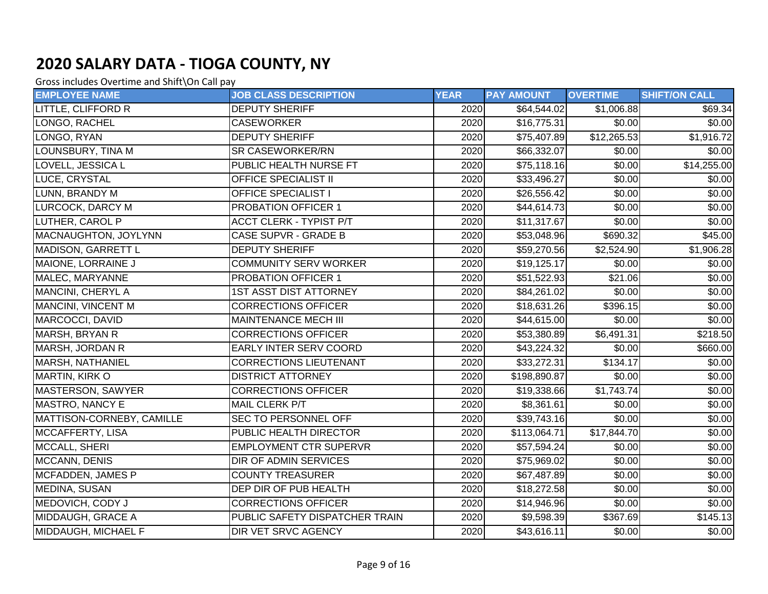| <b>EMPLOYEE NAME</b>      | <b>JOB CLASS DESCRIPTION</b>   | <b>YEAR</b> | <b>PAY AMOUNT</b>       | <b>OVERTIME</b>      | <b>SHIFT/ON CALL</b> |
|---------------------------|--------------------------------|-------------|-------------------------|----------------------|----------------------|
| LITTLE, CLIFFORD R        | <b>DEPUTY SHERIFF</b>          | 2020        | \$64,544.02             | \$1,006.88           | \$69.34              |
| LONGO, RACHEL             | <b>CASEWORKER</b>              | 2020        | \$16,775.31             | \$0.00               | \$0.00               |
| LONGO, RYAN               | <b>DEPUTY SHERIFF</b>          | 2020        | \$75,407.89             | \$12,265.53          | \$1,916.72           |
| LOUNSBURY, TINA M         | SR CASEWORKER/RN               | 2020        | \$66,332.07             | \$0.00               | \$0.00               |
| LOVELL, JESSICA L         | PUBLIC HEALTH NURSE FT         | 2020        | \$75,118.16             | \$0.00               | \$14,255.00          |
| LUCE, CRYSTAL             | <b>OFFICE SPECIALIST II</b>    | 2020        | \$33,496.27             | \$0.00               | \$0.00               |
| LUNN, BRANDY M            | <b>OFFICE SPECIALIST I</b>     | 2020        | \$26,556.42             | \$0.00               | \$0.00               |
| LURCOCK, DARCY M          | PROBATION OFFICER 1            | 2020        | $\overline{$44,614.73}$ | \$0.00               | \$0.00               |
| LUTHER, CAROL P           | <b>ACCT CLERK - TYPIST P/T</b> | 2020        | \$11,317.67             | \$0.00               | \$0.00               |
| MACNAUGHTON, JOYLYNN      | CASE SUPVR - GRADE B           | 2020        | \$53,048.96             | \$690.32             | \$45.00              |
| MADISON, GARRETT L        | <b>DEPUTY SHERIFF</b>          | 2020        | \$59,270.56             | \$2,524.90           | \$1,906.28           |
| MAIONE, LORRAINE J        | <b>COMMUNITY SERV WORKER</b>   | 2020        | \$19,125.17             | \$0.00               | \$0.00               |
| MALEC, MARYANNE           | <b>PROBATION OFFICER 1</b>     | 2020        | \$51,522.93             | \$21.06              | \$0.00               |
| <b>MANCINI, CHERYL A</b>  | <b>1ST ASST DIST ATTORNEY</b>  | 2020        | \$84,261.02             | \$0.00               | \$0.00               |
| MANCINI, VINCENT M        | <b>CORRECTIONS OFFICER</b>     | 2020        | \$18,631.26             | \$396.15             | \$0.00               |
| MARCOCCI, DAVID           | <b>MAINTENANCE MECH III</b>    | 2020        | \$44,615.00             | \$0.00               | \$0.00               |
| MARSH, BRYAN R            | <b>CORRECTIONS OFFICER</b>     | 2020        | \$53,380.89             | \$6,491.31           | \$218.50             |
| MARSH, JORDAN R           | EARLY INTER SERV COORD         | 2020        | \$43,224.32             | \$0.00               | \$660.00             |
| MARSH, NATHANIEL          | <b>CORRECTIONS LIEUTENANT</b>  | 2020        | \$33,272.31             | $\overline{$}134.17$ | \$0.00               |
| MARTIN, KIRK O            | <b>DISTRICT ATTORNEY</b>       | 2020        | \$198,890.87            | \$0.00               | \$0.00               |
| <b>MASTERSON, SAWYER</b>  | <b>CORRECTIONS OFFICER</b>     | 2020        | \$19,338.66             | \$1,743.74           | \$0.00               |
| MASTRO, NANCY E           | MAIL CLERK P/T                 | 2020        | \$8,361.61              | \$0.00               | \$0.00               |
| MATTISON-CORNEBY, CAMILLE | SEC TO PERSONNEL OFF           | 2020        | \$39,743.16             | \$0.00               | \$0.00               |
| MCCAFFERTY, LISA          | PUBLIC HEALTH DIRECTOR         | 2020        | \$113,064.71            | \$17,844.70          | \$0.00               |
| MCCALL, SHERI             | <b>EMPLOYMENT CTR SUPERVR</b>  | 2020        | \$57,594.24             | \$0.00               | \$0.00               |
| MCCANN, DENIS             | <b>DIR OF ADMIN SERVICES</b>   | 2020        | \$75,969.02             | \$0.00               | \$0.00               |
| MCFADDEN, JAMES P         | <b>COUNTY TREASURER</b>        | 2020        | \$67,487.89             | \$0.00               | \$0.00               |
| <b>MEDINA, SUSAN</b>      | DEP DIR OF PUB HEALTH          | 2020        | \$18,272.58             | \$0.00               | \$0.00               |
| MEDOVICH, CODY J          | <b>CORRECTIONS OFFICER</b>     | 2020        | \$14,946.96             | \$0.00               | \$0.00               |
| MIDDAUGH, GRACE A         | PUBLIC SAFETY DISPATCHER TRAIN | 2020        | \$9,598.39              | \$367.69             | \$145.13             |
| MIDDAUGH, MICHAEL F       | <b>DIR VET SRVC AGENCY</b>     | 2020        | \$43,616.11             | \$0.00               | $\sqrt{$0.00}$       |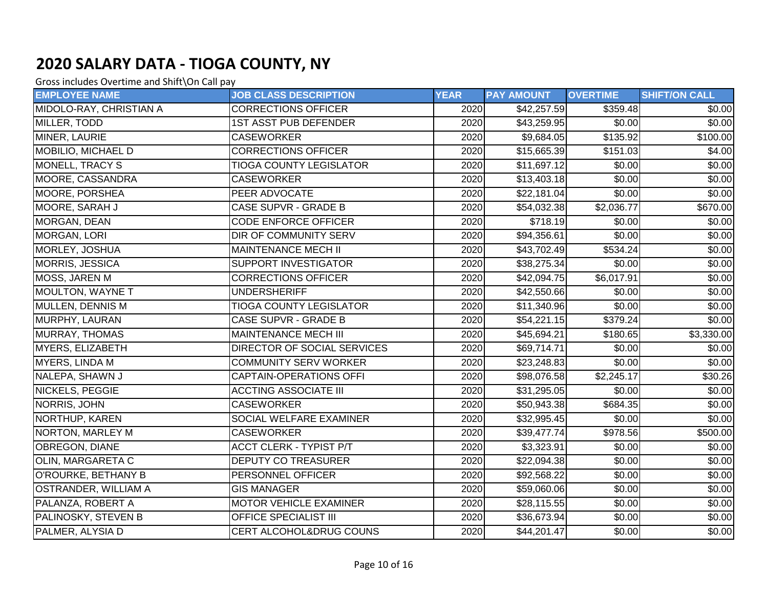| <b>EMPLOYEE NAME</b>        | <b>JOB CLASS DESCRIPTION</b>   | <b>YEAR</b> | <b>PAY AMOUNT</b>    | <b>OVERTIME</b> | <b>SHIFT/ON CALL</b> |
|-----------------------------|--------------------------------|-------------|----------------------|-----------------|----------------------|
| MIDOLO-RAY, CHRISTIAN A     | <b>CORRECTIONS OFFICER</b>     | 2020        | \$42,257.59          | \$359.48        | \$0.00               |
| MILLER, TODD                | <b>1ST ASST PUB DEFENDER</b>   | 2020        | \$43,259.95          | \$0.00          | \$0.00               |
| MINER, LAURIE               | <b>CASEWORKER</b>              | 2020        | \$9,684.05           | \$135.92        | \$100.00]            |
| <b>MOBILIO, MICHAEL D</b>   | <b>CORRECTIONS OFFICER</b>     | 2020        | \$15,665.39          | \$151.03        | \$4.00               |
| <b>MONELL, TRACY S</b>      | <b>TIOGA COUNTY LEGISLATOR</b> | 2020        | \$11,697.12          | \$0.00          | \$0.00               |
| MOORE, CASSANDRA            | <b>CASEWORKER</b>              | 2020        | \$13,403.18          | \$0.00          | \$0.00               |
| MOORE, PORSHEA              | PEER ADVOCATE                  | 2020        | \$22,181.04          | \$0.00          | \$0.00               |
| MOORE, SARAH J              | <b>CASE SUPVR - GRADE B</b>    | 2020        | \$54,032.38          | \$2,036.77      | \$670.00             |
| MORGAN, DEAN                | <b>CODE ENFORCE OFFICER</b>    | 2020        | $\overline{$}718.19$ | \$0.00          | \$0.00]              |
| <b>MORGAN, LORI</b>         | DIR OF COMMUNITY SERV          | 2020        | \$94,356.61          | \$0.00          | \$0.00               |
| MORLEY, JOSHUA              | <b>MAINTENANCE MECH II</b>     | 2020        | \$43,702.49          | \$534.24        | \$0.00               |
| MORRIS, JESSICA             | SUPPORT INVESTIGATOR           | 2020        | \$38,275.34          | \$0.00          | \$0.00               |
| MOSS, JAREN M               | <b>CORRECTIONS OFFICER</b>     | 2020        | \$42,094.75          | \$6,017.91      | \$0.00               |
| <b>MOULTON, WAYNE T</b>     | <b>UNDERSHERIFF</b>            | 2020        | \$42,550.66          | \$0.00          | \$0.00               |
| MULLEN, DENNIS M            | <b>TIOGA COUNTY LEGISLATOR</b> | 2020        | \$11,340.96          | \$0.00          | \$0.00               |
| MURPHY, LAURAN              | <b>CASE SUPVR - GRADE B</b>    | 2020        | \$54,221.15          | \$379.24        | \$0.00               |
| <b>MURRAY, THOMAS</b>       | <b>MAINTENANCE MECH III</b>    | 2020        | \$45,694.21          | \$180.65        | \$3,330.00           |
| MYERS, ELIZABETH            | DIRECTOR OF SOCIAL SERVICES    | 2020        | \$69,714.71          | \$0.00          | \$0.00               |
| MYERS, LINDA M              | <b>COMMUNITY SERV WORKER</b>   | 2020        | \$23,248.83          | \$0.00          | \$0.00               |
| NALEPA, SHAWN J             | <b>CAPTAIN-OPERATIONS OFFI</b> | 2020        | \$98,076.58          | \$2,245.17      | \$30.26]             |
| <b>NICKELS, PEGGIE</b>      | <b>ACCTING ASSOCIATE III</b>   | 2020        | \$31,295.05          | \$0.00          | \$0.00]              |
| NORRIS, JOHN                | <b>CASEWORKER</b>              | 2020        | \$50,943.38          | \$684.35        | \$0.00               |
| NORTHUP, KAREN              | SOCIAL WELFARE EXAMINER        | 2020        | \$32,995.45          | \$0.00          | \$0.00               |
| NORTON, MARLEY M            | <b>CASEWORKER</b>              | 2020        | \$39,477.74          | \$978.56        | \$500.00             |
| OBREGON, DIANE              | <b>ACCT CLERK - TYPIST P/T</b> | 2020        | \$3,323.91           | \$0.00          | \$0.00               |
| OLIN, MARGARETA C           | <b>DEPUTY CO TREASURER</b>     | 2020        | \$22,094.38          | \$0.00          | \$0.00               |
| O'ROURKE, BETHANY B         | PERSONNEL OFFICER              | 2020        | \$92,568.22          | $\sqrt{$0.00}$  | \$0.00]              |
| <b>OSTRANDER, WILLIAM A</b> | <b>GIS MANAGER</b>             | 2020        | \$59,060.06          | \$0.00          | \$0.00               |
| PALANZA, ROBERT A           | <b>MOTOR VEHICLE EXAMINER</b>  | 2020        | \$28,115.55          | \$0.00          | \$0.00               |
| PALINOSKY, STEVEN B         | OFFICE SPECIALIST III          | 2020        | \$36,673.94          | \$0.00          | \$0.00               |
| PALMER, ALYSIA D            | CERT ALCOHOL&DRUG COUNS        | 2020        | \$44,201.47          | \$0.00          | \$0.00               |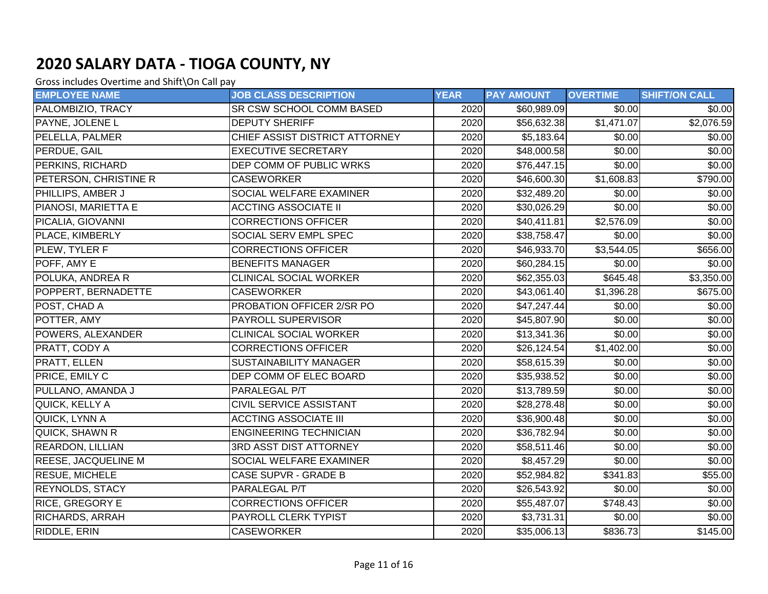| <b>EMPLOYEE NAME</b>       | <b>JOB CLASS DESCRIPTION</b>   | <b>YEAR</b> | <b>PAY AMOUNT</b> | <b>OVERTIME</b> | <b>SHIFT/ON CALL</b> |
|----------------------------|--------------------------------|-------------|-------------------|-----------------|----------------------|
| PALOMBIZIO, TRACY          | SR CSW SCHOOL COMM BASED       | 2020        | \$60,989.09       | \$0.00          | \$0.00               |
| PAYNE, JOLENE L            | <b>DEPUTY SHERIFF</b>          | 2020        | \$56,632.38       | \$1,471.07      | \$2,076.59           |
| PELELLA, PALMER            | CHIEF ASSIST DISTRICT ATTORNEY | 2020        | \$5,183.64        | \$0.00          | \$0.00               |
| PERDUE, GAIL               | <b>EXECUTIVE SECRETARY</b>     | 2020        | \$48,000.58       | \$0.00          | \$0.00               |
| <b>PERKINS, RICHARD</b>    | DEP COMM OF PUBLIC WRKS        | 2020        | \$76,447.15       | \$0.00          | \$0.00               |
| PETERSON, CHRISTINE R      | <b>CASEWORKER</b>              | 2020        | \$46,600.30       | \$1,608.83      | \$790.00             |
| PHILLIPS, AMBER J          | SOCIAL WELFARE EXAMINER        | 2020        | \$32,489.20       | \$0.00          | \$0.00               |
| PIANOSI, MARIETTA E        | <b>ACCTING ASSOCIATE II</b>    | 2020        | \$30,026.29       | \$0.00          | \$0.00               |
| PICALIA, GIOVANNI          | <b>CORRECTIONS OFFICER</b>     | 2020        | \$40,411.81       | \$2,576.09      | \$0.00               |
| PLACE, KIMBERLY            | SOCIAL SERV EMPL SPEC          | 2020        | \$38,758.47       | \$0.00          | \$0.00               |
| PLEW, TYLER F              | <b>CORRECTIONS OFFICER</b>     | 2020        | \$46,933.70       | \$3,544.05      | \$656.00             |
| POFF, AMY E                | <b>BENEFITS MANAGER</b>        | 2020        | \$60,284.15       | \$0.00          | \$0.00               |
| POLUKA, ANDREA R           | <b>CLINICAL SOCIAL WORKER</b>  | 2020        | \$62,355.03       | \$645.48        | \$3,350.00           |
| POPPERT, BERNADETTE        | <b>CASEWORKER</b>              | 2020        | \$43,061.40       | \$1,396.28      | \$675.00             |
| POST, CHAD A               | PROBATION OFFICER 2/SR PO      | 2020        | \$47,247.44       | \$0.00          | \$0.00               |
| POTTER, AMY                | PAYROLL SUPERVISOR             | 2020        | \$45,807.90       | \$0.00          | \$0.00               |
| POWERS, ALEXANDER          | <b>CLINICAL SOCIAL WORKER</b>  | 2020        | \$13,341.36       | \$0.00          | \$0.00               |
| PRATT, CODY A              | <b>CORRECTIONS OFFICER</b>     | 2020        | \$26,124.54]      | \$1,402.00      | \$0.00               |
| PRATT, ELLEN               | <b>SUSTAINABILITY MANAGER</b>  | 2020        | \$58,615.39       | \$0.00          | \$0.00               |
| <b>PRICE, EMILY C</b>      | DEP COMM OF ELEC BOARD         | 2020        | \$35,938.52       | \$0.00          | \$0.00               |
| PULLANO, AMANDA J          | PARALEGAL P/T                  | 2020        | \$13,789.59       | \$0.00          | \$0.00               |
| QUICK, KELLY A             | CIVIL SERVICE ASSISTANT        | 2020        | \$28,278.48       | \$0.00          | \$0.00               |
| QUICK, LYNN A              | <b>ACCTING ASSOCIATE III</b>   | 2020        | \$36,900.48       | \$0.00          | \$0.00               |
| QUICK, SHAWN R             | <b>ENGINEERING TECHNICIAN</b>  | 2020        | \$36,782.94       | \$0.00          | \$0.00               |
| <b>REARDON, LILLIAN</b>    | 3RD ASST DIST ATTORNEY         | 2020        | \$58,511.46       | \$0.00          | \$0.00               |
| <b>REESE, JACQUELINE M</b> | SOCIAL WELFARE EXAMINER        | 2020        | \$8,457.29        | \$0.00          | \$0.00               |
| <b>RESUE, MICHELE</b>      | CASE SUPVR - GRADE B           | 2020        | \$52,984.82       | \$341.83        | \$55.00              |
| <b>REYNOLDS, STACY</b>     | PARALEGAL P/T                  | 2020        | \$26,543.92       | \$0.00          | \$0.00               |
| <b>RICE, GREGORY E</b>     | <b>CORRECTIONS OFFICER</b>     | 2020        | \$55,487.07       | \$748.43        | \$0.00               |
| <b>RICHARDS, ARRAH</b>     | PAYROLL CLERK TYPIST           | 2020        | \$3,731.31        | \$0.00          | \$0.00               |
| <b>RIDDLE, ERIN</b>        | <b>CASEWORKER</b>              | 2020        | \$35,006.13       | \$836.73        | $\sqrt{$145.00}$     |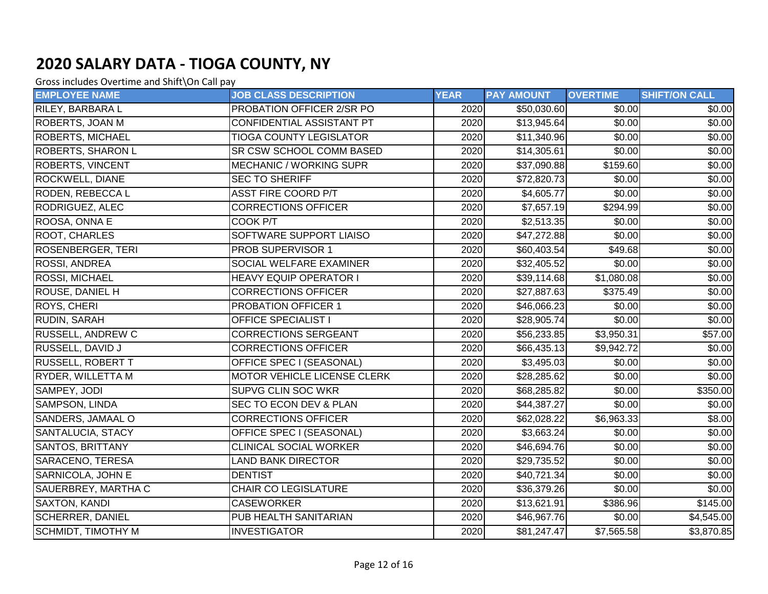| <b>EMPLOYEE NAME</b>      | <b>JOB CLASS DESCRIPTION</b>   | <b>YEAR</b> | <b>PAY AMOUNT</b> | <b>OVERTIME</b> | <b>SHIFT/ON CALL</b> |
|---------------------------|--------------------------------|-------------|-------------------|-----------------|----------------------|
| <b>RILEY, BARBARA L</b>   | PROBATION OFFICER 2/SR PO      | 2020        | \$50,030.60       | \$0.00          | \$0.00               |
| ROBERTS, JOAN M           | CONFIDENTIAL ASSISTANT PT      | 2020        | \$13,945.64       | \$0.00          | \$0.00               |
| <b>ROBERTS, MICHAEL</b>   | <b>TIOGA COUNTY LEGISLATOR</b> | 2020        | \$11,340.96       | \$0.00          | \$0.00]              |
| <b>ROBERTS, SHARON L</b>  | SR CSW SCHOOL COMM BASED       | 2020        | \$14,305.61       | \$0.00          | \$0.00               |
| <b>ROBERTS, VINCENT</b>   | <b>MECHANIC / WORKING SUPR</b> | 2020        | \$37,090.88       | \$159.60        | \$0.00               |
| <b>ROCKWELL, DIANE</b>    | <b>SEC TO SHERIFF</b>          | 2020        | \$72,820.73       | \$0.00          | \$0.00               |
| RODEN, REBECCA L          | <b>ASST FIRE COORD P/T</b>     | 2020        | \$4,605.77        | \$0.00          | \$0.00               |
| <b>RODRIGUEZ, ALEC</b>    | <b>CORRECTIONS OFFICER</b>     | 2020        | \$7,657.19        | \$294.99        | \$0.00               |
| ROOSA, ONNA E             | COOK P/T                       | 2020        | \$2,513.35        | \$0.00          | \$0.00               |
| <b>ROOT, CHARLES</b>      | SOFTWARE SUPPORT LIAISO        | 2020        | \$47,272.88       | \$0.00          | \$0.00               |
| <b>ROSENBERGER, TERI</b>  | PROB SUPERVISOR 1              | 2020        | \$60,403.54       | $\sqrt{$49.68}$ | \$0.00               |
| <b>ROSSI, ANDREA</b>      | SOCIAL WELFARE EXAMINER        | 2020        | \$32,405.52       | \$0.00          | \$0.00               |
| <b>ROSSI, MICHAEL</b>     | <b>HEAVY EQUIP OPERATOR I</b>  | 2020        | \$39,114.68       | \$1,080.08      | \$0.00               |
| ROUSE, DANIEL H           | <b>CORRECTIONS OFFICER</b>     | 2020        | \$27,887.63       | \$375.49        | \$0.00               |
| <b>ROYS, CHERI</b>        | PROBATION OFFICER 1            | 2020        | \$46,066.23       | \$0.00          | \$0.00               |
| RUDIN, SARAH              | <b>OFFICE SPECIALIST I</b>     | 2020        | \$28,905.74       | \$0.00          | \$0.00               |
| <b>RUSSELL, ANDREW C</b>  | <b>CORRECTIONS SERGEANT</b>    | 2020        | \$56,233.85       | \$3,950.31      | \$57.00              |
| <b>RUSSELL, DAVID J</b>   | <b>CORRECTIONS OFFICER</b>     | 2020        | \$66,435.13       | \$9,942.72      | \$0.00               |
| <b>RUSSELL, ROBERT T</b>  | OFFICE SPEC I (SEASONAL)       | 2020        | \$3,495.03        | \$0.00          | \$0.00               |
| RYDER, WILLETTA M         | MOTOR VEHICLE LICENSE CLERK    | 2020        | \$28,285.62       | \$0.00          | \$0.00               |
| SAMPEY, JODI              | SUPVG CLIN SOC WKR             | 2020        | \$68,285.82       | \$0.00          | \$350.00             |
| SAMPSON, LINDA            | SEC TO ECON DEV & PLAN         | 2020        | \$44,387.27       | \$0.00          | \$0.00]              |
| SANDERS, JAMAAL O         | <b>CORRECTIONS OFFICER</b>     | 2020        | \$62,028.22       | \$6,963.33      | \$8.00               |
| SANTALUCIA, STACY         | OFFICE SPEC I (SEASONAL)       | 2020        | \$3,663.24        | \$0.00          | \$0.00               |
| <b>SANTOS, BRITTANY</b>   | <b>CLINICAL SOCIAL WORKER</b>  | 2020        | \$46,694.76       | \$0.00          | \$0.00               |
| SARACENO, TERESA          | <b>LAND BANK DIRECTOR</b>      | 2020        | \$29,735.52       | \$0.00          | \$0.00               |
| SARNICOLA, JOHN E         | <b>DENTIST</b>                 | 2020        | \$40,721.34       | $\sqrt{$0.00}$  | \$0.00]              |
| SAUERBREY, MARTHA C       | <b>CHAIR CO LEGISLATURE</b>    | 2020        | \$36,379.26       | \$0.00          | \$0.00               |
| <b>SAXTON, KANDI</b>      | <b>CASEWORKER</b>              | 2020        | \$13,621.91       | \$386.96        | \$145.00             |
| <b>SCHERRER, DANIEL</b>   | PUB HEALTH SANITARIAN          | 2020        | \$46,967.76       | \$0.00          | \$4,545.00           |
| <b>SCHMIDT, TIMOTHY M</b> | <b>INVESTIGATOR</b>            | 2020        | \$81,247.47       | \$7,565.58      | \$3,870.85           |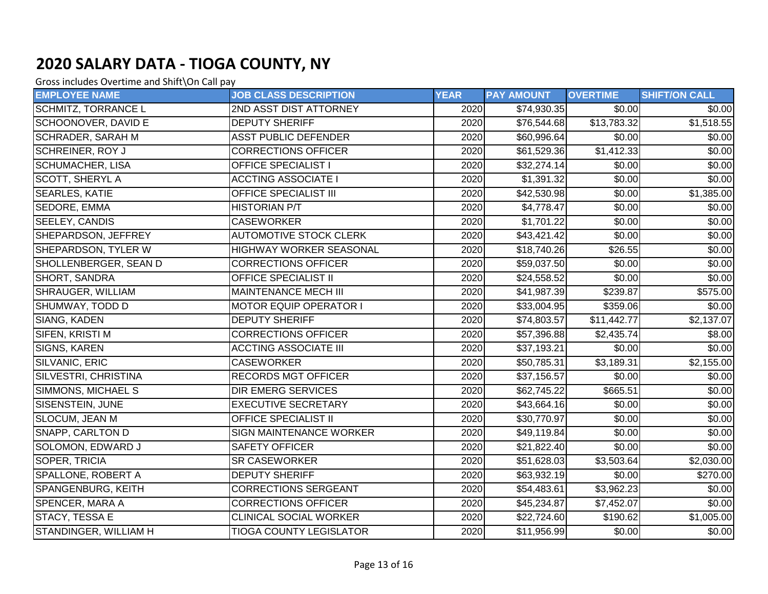| <b>EMPLOYEE NAME</b>      | <b>JOB CLASS DESCRIPTION</b>   | <b>YEAR</b> | <b>PAY AMOUNT</b> | <b>OVERTIME</b> | <b>SHIFT/ON CALL</b>    |
|---------------------------|--------------------------------|-------------|-------------------|-----------------|-------------------------|
| SCHMITZ, TORRANCE L       | 2ND ASST DIST ATTORNEY         | 2020        | \$74,930.35       | \$0.00          | \$0.00                  |
| SCHOONOVER, DAVID E       | <b>DEPUTY SHERIFF</b>          | 2020        | \$76,544.68       | \$13,783.32     | $\overline{\$1,518.55}$ |
| <b>SCHRADER, SARAH M</b>  | <b>ASST PUBLIC DEFENDER</b>    | 2020        | \$60,996.64       | \$0.00          | \$0.00]                 |
| <b>SCHREINER, ROY J</b>   | <b>CORRECTIONS OFFICER</b>     | 2020        | \$61,529.36       | \$1,412.33      | \$0.00                  |
| <b>SCHUMACHER, LISA</b>   | <b>OFFICE SPECIALIST I</b>     | 2020        | \$32,274.14       | \$0.00          | \$0.00                  |
| <b>SCOTT, SHERYL A</b>    | <b>ACCTING ASSOCIATE I</b>     | 2020        | \$1,391.32        | \$0.00          | \$0.00                  |
| <b>SEARLES, KATIE</b>     | OFFICE SPECIALIST III          | 2020        | \$42,530.98       | \$0.00          | \$1,385.00              |
| SEDORE, EMMA              | <b>HISTORIAN P/T</b>           | 2020        | \$4,778.47        | \$0.00          | \$0.00                  |
| SEELEY, CANDIS            | <b>CASEWORKER</b>              | 2020        | \$1,701.22        | \$0.00          | \$0.00                  |
| SHEPARDSON, JEFFREY       | <b>AUTOMOTIVE STOCK CLERK</b>  | 2020        | \$43,421.42       | \$0.00          | \$0.00                  |
| SHEPARDSON, TYLER W       | <b>HIGHWAY WORKER SEASONAL</b> | 2020        | \$18,740.26       | \$26.55         | \$0.00                  |
| SHOLLENBERGER, SEAN D     | <b>CORRECTIONS OFFICER</b>     | 2020        | \$59,037.50       | \$0.00          | \$0.00                  |
| SHORT, SANDRA             | <b>OFFICE SPECIALIST II</b>    | 2020        | \$24,558.52       | \$0.00          | \$0.00                  |
| <b>SHRAUGER, WILLIAM</b>  | MAINTENANCE MECH III           | 2020        | \$41,987.39       | \$239.87        | \$575.00                |
| SHUMWAY, TODD D           | <b>MOTOR EQUIP OPERATOR I</b>  | 2020        | \$33,004.95       | \$359.06        | \$0.00]                 |
| SIANG, KADEN              | <b>DEPUTY SHERIFF</b>          | 2020        | \$74,803.57       | \$11,442.77     | \$2,137.07              |
| SIFEN, KRISTI M           | <b>CORRECTIONS OFFICER</b>     | 2020        | \$57,396.88       | \$2,435.74      | \$8.00                  |
| SIGNS, KAREN              | <b>ACCTING ASSOCIATE III</b>   | 2020        | \$37,193.21       | \$0.00          | \$0.00]                 |
| SILVANIC, ERIC            | <b>CASEWORKER</b>              | 2020        | \$50,785.31       | \$3,189.31      | \$2,155.00              |
| SILVESTRI, CHRISTINA      | <b>RECORDS MGT OFFICER</b>     | 2020        | \$37,156.57       | \$0.00          | \$0.00                  |
| SIMMONS, MICHAEL S        | <b>DIR EMERG SERVICES</b>      | 2020        | \$62,745.22       | \$665.51        | \$0.00]                 |
| SISENSTEIN, JUNE          | <b>EXECUTIVE SECRETARY</b>     | 2020        | \$43,664.16       | \$0.00          | \$0.00                  |
| <b>SLOCUM, JEAN M</b>     | <b>OFFICE SPECIALIST II</b>    | 2020        | \$30,770.97       | \$0.00          | \$0.00                  |
| SNAPP, CARLTON D          | SIGN MAINTENANCE WORKER        | 2020        | \$49,119.84       | \$0.00          | \$0.00]                 |
| SOLOMON, EDWARD J         | <b>SAFETY OFFICER</b>          | 2020        | \$21,822.40       | \$0.00          | \$0.00                  |
| SOPER, TRICIA             | <b>SR CASEWORKER</b>           | 2020        | \$51,628.03       | \$3,503.64      | \$2,030.00              |
| <b>SPALLONE, ROBERT A</b> | <b>DEPUTY SHERIFF</b>          | 2020        | \$63,932.19       | \$0.00          | \$270.00                |
| SPANGENBURG, KEITH        | <b>CORRECTIONS SERGEANT</b>    | 2020        | \$54,483.61       | \$3,962.23      | \$0.00                  |
| SPENCER, MARA A           | <b>CORRECTIONS OFFICER</b>     | 2020        | \$45,234.87       | \$7,452.07      | \$0.00                  |
| STACY, TESSA E            | <b>CLINICAL SOCIAL WORKER</b>  | 2020        | \$22,724.60       | \$190.62        | \$1,005.00              |
| STANDINGER, WILLIAM H     | <b>TIOGA COUNTY LEGISLATOR</b> | 2020        | \$11,956.99       | $\sqrt{$0.00}$  | \$0.00                  |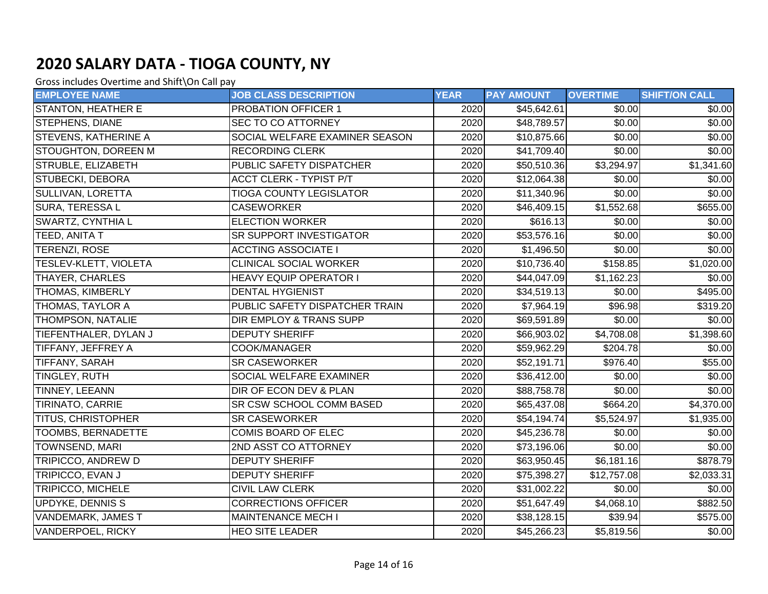| <b>EMPLOYEE NAME</b>         | <b>JOB CLASS DESCRIPTION</b>    | <b>YEAR</b> | <b>PAY AMOUNT</b> | <b>OVERTIME</b> | <b>SHIFT/ON CALL</b> |
|------------------------------|---------------------------------|-------------|-------------------|-----------------|----------------------|
| <b>STANTON, HEATHER E</b>    | <b>PROBATION OFFICER 1</b>      | 2020        | \$45,642.61       | \$0.00          | \$0.00               |
| <b>STEPHENS, DIANE</b>       | <b>SEC TO CO ATTORNEY</b>       | 2020        | \$48,789.57       | \$0.00          | \$0.00               |
| <b>STEVENS, KATHERINE A</b>  | SOCIAL WELFARE EXAMINER SEASON  | 2020        | \$10,875.66       | \$0.00          | \$0.00               |
| STOUGHTON, DOREEN M          | <b>RECORDING CLERK</b>          | 2020        | \$41,709.40       | \$0.00          | \$0.00               |
| STRUBLE, ELIZABETH           | PUBLIC SAFETY DISPATCHER        | 2020        | \$50,510.36       | \$3,294.97      | \$1,341.60           |
| <b>STUBECKI, DEBORA</b>      | <b>ACCT CLERK - TYPIST P/T</b>  | 2020        | \$12,064.38       | \$0.00          | \$0.00               |
| SULLIVAN, LORETTA            | <b>TIOGA COUNTY LEGISLATOR</b>  | 2020        | \$11,340.96       | \$0.00          | \$0.00               |
| SURA, TERESSA L              | <b>CASEWORKER</b>               | 2020        | \$46,409.15       | \$1,552.68      | \$655.00             |
| <b>SWARTZ, CYNTHIA L</b>     | <b>ELECTION WORKER</b>          | 2020        | \$616.13          | \$0.00          | $\sqrt{$0.00}$       |
| TEED, ANITA T                | <b>SR SUPPORT INVESTIGATOR</b>  | 2020        | \$53,576.16       | \$0.00          | \$0.00               |
| TERENZI, ROSE                | <b>ACCTING ASSOCIATE I</b>      | 2020        | \$1,496.50        | \$0.00          | \$0.00               |
| <b>TESLEV-KLETT, VIOLETA</b> | <b>CLINICAL SOCIAL WORKER</b>   | 2020        | \$10,736.40       | \$158.85        | \$1,020.00           |
| THAYER, CHARLES              | <b>HEAVY EQUIP OPERATOR I</b>   | 2020        | \$44,047.09       | \$1,162.23      | \$0.00               |
| <b>THOMAS, KIMBERLY</b>      | <b>DENTAL HYGIENIST</b>         | 2020        | \$34,519.13       | \$0.00          | $\overline{$495.00}$ |
| THOMAS, TAYLOR A             | PUBLIC SAFETY DISPATCHER TRAIN  | 2020        | \$7,964.19        | \$96.98         | \$319.20             |
| <b>THOMPSON, NATALIE</b>     | DIR EMPLOY & TRANS SUPP         | 2020        | \$69,591.89       | \$0.00          | \$0.00               |
| TIEFENTHALER, DYLAN J        | <b>DEPUTY SHERIFF</b>           | 2020        | \$66,903.02       | \$4,708.08      | \$1,398.60           |
| TIFFANY, JEFFREY A           | COOK/MANAGER                    | 2020        | \$59,962.29       | \$204.78        | \$0.00               |
| TIFFANY, SARAH               | <b>SR CASEWORKER</b>            | 2020        | \$52,191.71       | \$976.40        | \$55.00              |
| <b>TINGLEY, RUTH</b>         | <b>SOCIAL WELFARE EXAMINER</b>  | 2020        | \$36,412.00       | \$0.00          | \$0.00               |
| <b>TINNEY, LEEANN</b>        | DIR OF ECON DEV & PLAN          | 2020        | \$88,758.78       | \$0.00          | \$0.00               |
| <b>TIRINATO, CARRIE</b>      | <b>SR CSW SCHOOL COMM BASED</b> | 2020        | \$65,437.08       | \$664.20        | \$4,370.00           |
| <b>TITUS, CHRISTOPHER</b>    | <b>SR CASEWORKER</b>            | 2020        | \$54,194.74       | \$5,524.97      | \$1,935.00           |
| <b>TOOMBS, BERNADETTE</b>    | <b>COMIS BOARD OF ELEC</b>      | 2020        | \$45,236.78       | \$0.00          | \$0.00               |
| <b>TOWNSEND, MARI</b>        | 2ND ASST CO ATTORNEY            | 2020        | \$73,196.06       | \$0.00          | \$0.00               |
| TRIPICCO, ANDREW D           | <b>DEPUTY SHERIFF</b>           | 2020        | \$63,950.45       | \$6,181.16      | \$878.79             |
| TRIPICCO, EVAN J             | <b>DEPUTY SHERIFF</b>           | 2020        | \$75,398.27       | \$12,757.08     | \$2,033.31           |
| <b>TRIPICCO, MICHELE</b>     | <b>CIVIL LAW CLERK</b>          | 2020        | \$31,002.22       | \$0.00          | \$0.00               |
| UPDYKE, DENNIS S             | <b>CORRECTIONS OFFICER</b>      | 2020        | \$51,647.49       | \$4,068.10      | \$882.50             |
| <b>VANDEMARK, JAMES T</b>    | <b>MAINTENANCE MECH I</b>       | 2020        | \$38,128.15       | \$39.94         | \$575.00             |
| <b>VANDERPOEL, RICKY</b>     | <b>HEO SITE LEADER</b>          | 2020        | \$45,266.23       | \$5,819.56      | \$0.00               |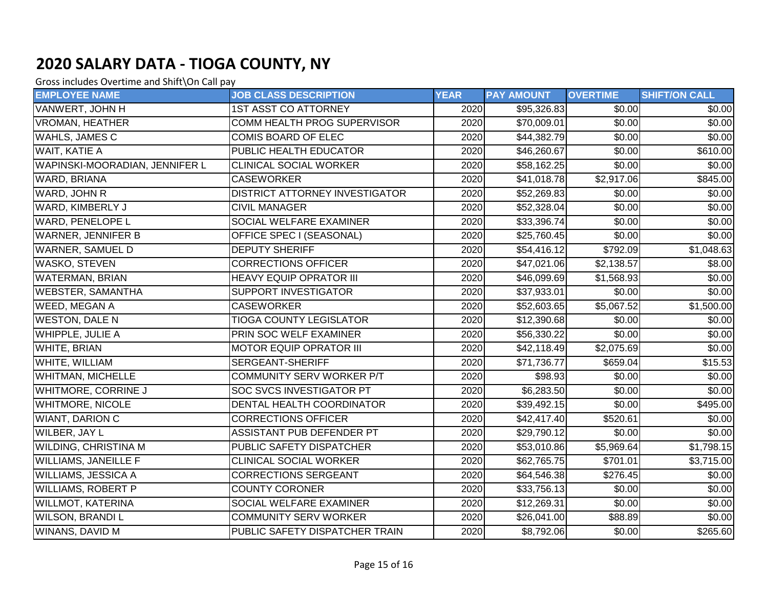| <b>EMPLOYEE NAME</b>           | <b>JOB CLASS DESCRIPTION</b>          | <b>YEAR</b> | <b>PAY AMOUNT</b> | <b>OVERTIME</b>        | <b>SHIFT/ON CALL</b> |
|--------------------------------|---------------------------------------|-------------|-------------------|------------------------|----------------------|
| VANWERT, JOHN H                | <b>1ST ASST CO ATTORNEY</b>           | 2020        | \$95,326.83       | \$0.00                 | \$0.00               |
| <b>VROMAN, HEATHER</b>         | <b>COMM HEALTH PROG SUPERVISOR</b>    | 2020        | \$70,009.01       | \$0.00                 | \$0.00               |
| WAHLS, JAMES C                 | COMIS BOARD OF ELEC                   | 2020        | \$44,382.79       | \$0.00                 | \$0.00]              |
| <b>WAIT, KATIE A</b>           | PUBLIC HEALTH EDUCATOR                | 2020        | \$46,260.67       | \$0.00                 | \$610.00             |
| WAPINSKI-MOORADIAN, JENNIFER L | <b>CLINICAL SOCIAL WORKER</b>         | 2020        | \$58,162.25       | \$0.00                 | \$0.00               |
| <b>WARD, BRIANA</b>            | <b>CASEWORKER</b>                     | 2020        | \$41,018.78       | \$2,917.06             | \$845.00             |
| WARD, JOHN R                   | <b>DISTRICT ATTORNEY INVESTIGATOR</b> | 2020        | \$52,269.83       | \$0.00                 | \$0.00               |
| WARD, KIMBERLY J               | <b>CIVIL MANAGER</b>                  | 2020        | \$52,328.04       | \$0.00                 | \$0.00               |
| <b>WARD, PENELOPE L</b>        | SOCIAL WELFARE EXAMINER               | 2020        | \$33,396.74       | \$0.00                 | \$0.00               |
| <b>WARNER, JENNIFER B</b>      | OFFICE SPEC I (SEASONAL)              | 2020        | \$25,760.45       | \$0.00                 | \$0.00               |
| <b>WARNER, SAMUEL D</b>        | <b>DEPUTY SHERIFF</b>                 | 2020        | \$54,416.12       | \$792.09               | \$1,048.63           |
| <b>WASKO, STEVEN</b>           | <b>CORRECTIONS OFFICER</b>            | 2020        | \$47,021.06       | \$2,138.57             | \$8.00               |
| <b>WATERMAN, BRIAN</b>         | <b>HEAVY EQUIP OPRATOR III</b>        | 2020        | \$46,099.69       | \$1,568.93             | \$0.00               |
| <b>WEBSTER, SAMANTHA</b>       | <b>SUPPORT INVESTIGATOR</b>           | 2020        | \$37,933.01       | \$0.00                 | \$0.00               |
| <b>WEED, MEGAN A</b>           | <b>CASEWORKER</b>                     | 2020        | \$52,603.65       | \$5,067.52             | \$1,500.00           |
| <b>WESTON, DALE N</b>          | <b>TIOGA COUNTY LEGISLATOR</b>        | 2020        | \$12,390.68       | \$0.00                 | \$0.00               |
| <b>WHIPPLE, JULIE A</b>        | PRIN SOC WELF EXAMINER                | 2020        | \$56,330.22       | \$0.00                 | \$0.00               |
| <b>WHITE, BRIAN</b>            | <b>MOTOR EQUIP OPRATOR III</b>        | 2020        | \$42,118.49       | \$2,075.69             | \$0.00               |
| WHITE, WILLIAM                 | SERGEANT-SHERIFF                      | 2020        | \$71,736.77       | \$659.04               | \$15.53              |
| <b>WHITMAN, MICHELLE</b>       | <b>COMMUNITY SERV WORKER P/T</b>      | 2020        | \$98.93           | \$0.00                 | \$0.00               |
| <b>WHITMORE, CORRINE J</b>     | <b>SOC SVCS INVESTIGATOR PT</b>       | 2020        | \$6,283.50        | \$0.00                 | $\sqrt{$0.00}$       |
| <b>WHITMORE, NICOLE</b>        | DENTAL HEALTH COORDINATOR             | 2020        | \$39,492.15       | \$0.00                 | \$495.00             |
| <b>WIANT, DARION C</b>         | <b>CORRECTIONS OFFICER</b>            | 2020        | \$42,417.40       | \$520.61               | \$0.00               |
| <b>WILBER, JAY L</b>           | ASSISTANT PUB DEFENDER PT             | 2020        | \$29,790.12       | \$0.00                 | \$0.00               |
| <b>WILDING, CHRISTINA M</b>    | PUBLIC SAFETY DISPATCHER              | 2020        | \$53,010.86       | $\overline{$5,969.64}$ | \$1,798.15           |
| <b>WILLIAMS, JANEILLE F</b>    | <b>CLINICAL SOCIAL WORKER</b>         | 2020        | \$62,765.75       | \$701.01               | \$3,715.00           |
| <b>WILLIAMS, JESSICA A</b>     | <b>CORRECTIONS SERGEANT</b>           | 2020        | \$64,546.38       | $\overline{$}276.45$   | \$0.00]              |
| <b>WILLIAMS, ROBERT P</b>      | <b>COUNTY CORONER</b>                 | 2020        | \$33,756.13       | \$0.00                 | \$0.00               |
| <b>WILLMOT, KATERINA</b>       | SOCIAL WELFARE EXAMINER               | 2020        | \$12,269.31       | \$0.00                 | \$0.00               |
| <b>WILSON, BRANDI L</b>        | <b>COMMUNITY SERV WORKER</b>          | 2020        | \$26,041.00       | \$88.89                | \$0.00               |
| WINANS, DAVID M                | PUBLIC SAFETY DISPATCHER TRAIN        | 2020        | \$8,792.06        | \$0.00                 | 3265.60              |